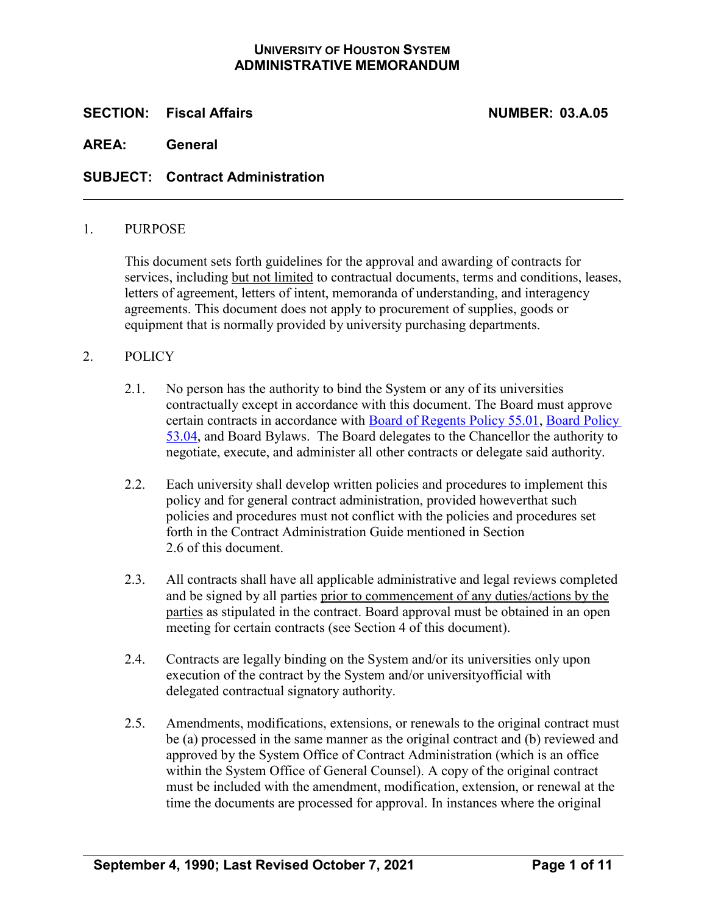### **UNIVERSITY OF HOUSTON SYSTEM ADMINISTRATIVE MEMORANDUM**

### **SECTION: Fiscal Affairs NUMBER: 03.A.05**

**AREA: General**

### **SUBJECT: Contract Administration**

#### 1. PURPOSE

This document sets forth guidelines for the approval and awarding of contracts for services, including but not limited to contractual documents, terms and conditions, leases, letters of agreement, letters of intent, memoranda of understanding, and interagency agreements. This document does not apply to procurement of supplies, goods or equipment that is normally provided by university purchasing departments.

### 2. POLICY

- 2.1. No person has the authority to bind the System or any of its universities contractually except in accordance with this document. The Board must approve certain contracts in accordance with [Board of Regents Policy 55.01, Board Policy](http://www.uhsystem.edu/board-of-regents/policies/index.php#SectionVI)  [53.04,](http://www.uhsystem.edu/board-of-regents/policies/index.php#SectionVI) and Board Bylaws. The Board delegates to the Chancellor the authority to negotiate, execute, and administer all other contracts or delegate said authority.
- 2.2. Each university shall develop written policies and procedures to implement this policy and for general contract administration, provided howeverthat such policies and procedures must not conflict with the policies and procedures set forth in the Contract Administration Guide mentioned in Section 2.6 of this document.
- 2.3. All contracts shall have all applicable administrative and legal reviews completed and be signed by all parties prior to commencement of any duties/actions by the parties as stipulated in the contract. Board approval must be obtained in an open meeting for certain contracts (see Section 4 of this document).
- 2.4. Contracts are legally binding on the System and/or its universities only upon execution of the contract by the System and/or universityofficial with delegated contractual signatory authority.
- 2.5. Amendments, modifications, extensions, or renewals to the original contract must be (a) processed in the same manner as the original contract and (b) reviewed and approved by the System Office of Contract Administration (which is an office within the System Office of General Counsel). A copy of the original contract must be included with the amendment, modification, extension, or renewal at the time the documents are processed for approval. In instances where the original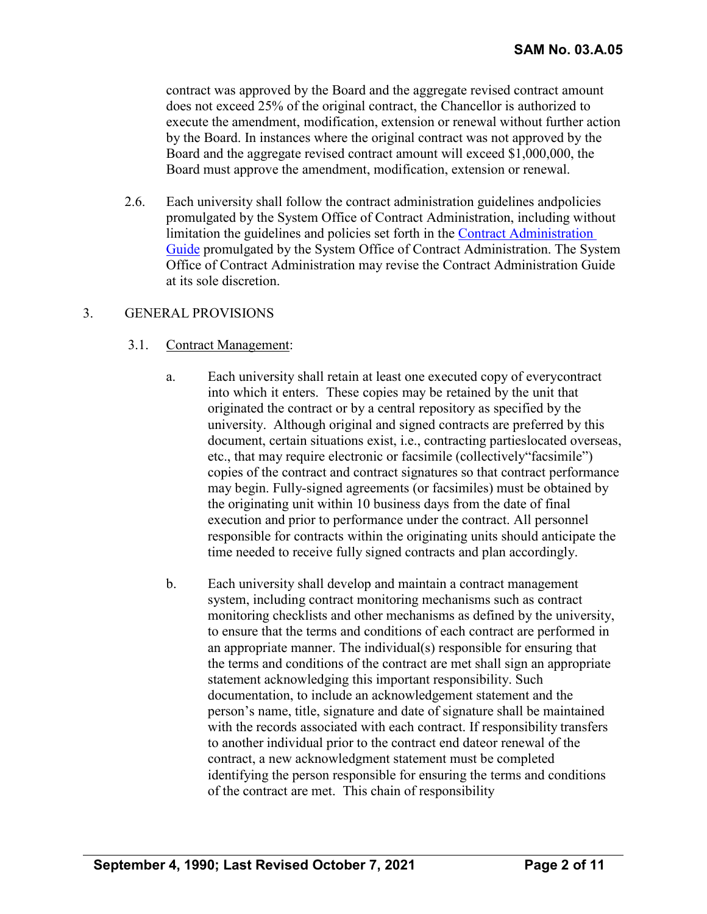contract was approved by the Board and the aggregate revised contract amount does not exceed 25% of the original contract, the Chancellor is authorized to execute the amendment, modification, extension or renewal without further action by the Board. In instances where the original contract was not approved by the Board and the aggregate revised contract amount will exceed \$1,000,000, the Board must approve the amendment, modification, extension or renewal.

2.6. Each university shall follow the contract administration guidelines andpolicies promulgated by the System Office of Contract Administration, including without limitation the guidelines and policies set forth in the [Contract Administration](https://uhsystem.edu/legal-affairs/contract-administration/pdf-documents/contract-administration-guide_10.04.2021.pdf)  [Guide](https://uhsystem.edu/legal-affairs/contract-administration/pdf-documents/contract-administration-guide_10.04.2021.pdf) promulgated by the System Office of Contract Administration. The System Office of Contract Administration may revise the Contract Administration Guide at its sole discretion.

### 3. GENERAL PROVISIONS

#### 3.1. Contract Management:

- a. Each university shall retain at least one executed copy of everycontract into which it enters. These copies may be retained by the unit that originated the contract or by a central repository as specified by the university. Although original and signed contracts are preferred by this document, certain situations exist, i.e., contracting partieslocated overseas, etc., that may require electronic or facsimile (collectively"facsimile") copies of the contract and contract signatures so that contract performance may begin. Fully-signed agreements (or facsimiles) must be obtained by the originating unit within 10 business days from the date of final execution and prior to performance under the contract. All personnel responsible for contracts within the originating units should anticipate the time needed to receive fully signed contracts and plan accordingly.
- b. Each university shall develop and maintain a contract management system, including contract monitoring mechanisms such as contract monitoring checklists and other mechanisms as defined by the university, to ensure that the terms and conditions of each contract are performed in an appropriate manner. The individual(s) responsible for ensuring that the terms and conditions of the contract are met shall sign an appropriate statement acknowledging this important responsibility. Such documentation, to include an acknowledgement statement and the person's name, title, signature and date of signature shall be maintained with the records associated with each contract. If responsibility transfers to another individual prior to the contract end dateor renewal of the contract, a new acknowledgment statement must be completed identifying the person responsible for ensuring the terms and conditions of the contract are met. This chain of responsibility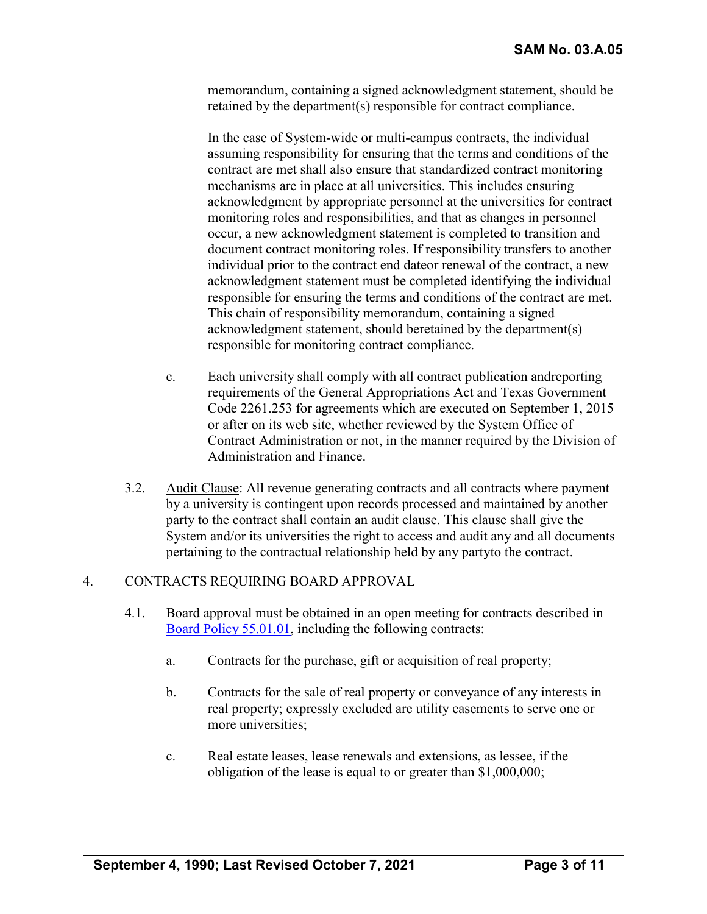memorandum, containing a signed acknowledgment statement, should be retained by the department(s) responsible for contract compliance.

In the case of System-wide or multi-campus contracts, the individual assuming responsibility for ensuring that the terms and conditions of the contract are met shall also ensure that standardized contract monitoring mechanisms are in place at all universities. This includes ensuring acknowledgment by appropriate personnel at the universities for contract monitoring roles and responsibilities, and that as changes in personnel occur, a new acknowledgment statement is completed to transition and document contract monitoring roles. If responsibility transfers to another individual prior to the contract end dateor renewal of the contract, a new acknowledgment statement must be completed identifying the individual responsible for ensuring the terms and conditions of the contract are met. This chain of responsibility memorandum, containing a signed acknowledgment statement, should beretained by the department(s) responsible for monitoring contract compliance.

- c. Each university shall comply with all contract publication andreporting requirements of the General Appropriations Act and Texas Government Code 2261.253 for agreements which are executed on September 1, 2015 or after on its web site, whether reviewed by the System Office of Contract Administration or not, in the manner required by the Division of Administration and Finance.
- 3.2. Audit Clause: All revenue generating contracts and all contracts where payment by a university is contingent upon records processed and maintained by another party to the contract shall contain an audit clause. This clause shall give the System and/or its universities the right to access and audit any and all documents pertaining to the contractual relationship held by any partyto the contract.

## 4. CONTRACTS REQUIRING BOARD APPROVAL

- 4.1. Board approval must be obtained in an open meeting for contracts described in [Board Policy](http://www.uhsystem.edu/board-of-regents/policies/index.php#SectionVI) 55.01.01, including the following contracts:
	- a. Contracts for the purchase, gift or acquisition of real property;
	- b. Contracts for the sale of real property or conveyance of any interests in real property; expressly excluded are utility easements to serve one or more universities;
	- c. Real estate leases, lease renewals and extensions, as lessee, if the obligation of the lease is equal to or greater than \$1,000,000;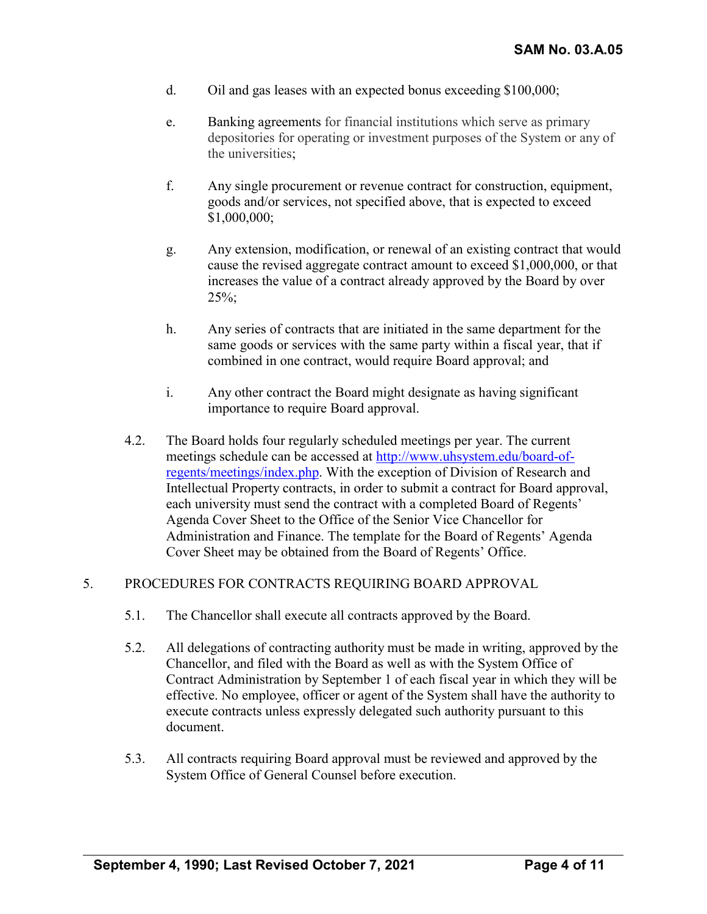- d. Oil and gas leases with an expected bonus exceeding \$100,000;
- e. Banking agreements for financial institutions which serve as primary depositories for operating or investment purposes of the System or any of the universities;
- f. Any single procurement or revenue contract for construction, equipment, goods and/or services, not specified above, that is expected to exceed \$1,000,000;
- g. Any extension, modification, or renewal of an existing contract that would cause the revised aggregate contract amount to exceed \$1,000,000, or that increases the value of a contract already approved by the Board by over 25%;
- h. Any series of contracts that are initiated in the same department for the same goods or services with the same party within a fiscal year, that if combined in one contract, would require Board approval; and
- i. Any other contract the Board might designate as having significant importance to require Board approval.
- 4.2. The Board holds four regularly scheduled meetings per year. The current meetings schedule can be accessed at [http://www.uhsystem.edu/board-of](https://uhsystem.edu/board-of-regents/meetings/index.php)[regents/meetings/index.php.](https://uhsystem.edu/board-of-regents/meetings/index.php) With the exception of Division of Research and Intellectual Property contracts, in order to submit a contract for Board approval, each university must send the contract with a completed Board of Regents' Agenda Cover Sheet to the Office of the Senior Vice Chancellor for Administration and Finance. The template for the Board of Regents' Agenda Cover Sheet may be obtained from the Board of Regents' Office.

## 5. PROCEDURES FOR CONTRACTS REQUIRING BOARD APPROVAL

- 5.1. The Chancellor shall execute all contracts approved by the Board.
- 5.2. All delegations of contracting authority must be made in writing, approved by the Chancellor, and filed with the Board as well as with the System Office of Contract Administration by September 1 of each fiscal year in which they will be effective. No employee, officer or agent of the System shall have the authority to execute contracts unless expressly delegated such authority pursuant to this document.
- 5.3. All contracts requiring Board approval must be reviewed and approved by the System Office of General Counsel before execution.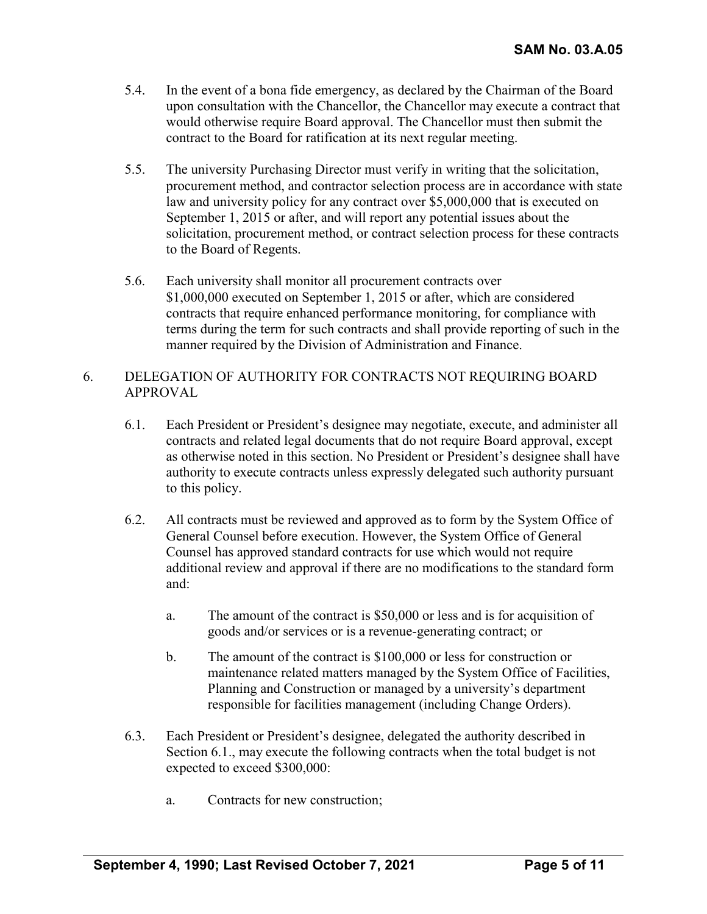- 5.4. In the event of a bona fide emergency, as declared by the Chairman of the Board upon consultation with the Chancellor, the Chancellor may execute a contract that would otherwise require Board approval. The Chancellor must then submit the contract to the Board for ratification at its next regular meeting.
- 5.5. The university Purchasing Director must verify in writing that the solicitation, procurement method, and contractor selection process are in accordance with state law and university policy for any contract over \$5,000,000 that is executed on September 1, 2015 or after, and will report any potential issues about the solicitation, procurement method, or contract selection process for these contracts to the Board of Regents.
- 5.6. Each university shall monitor all procurement contracts over \$1,000,000 executed on September 1, 2015 or after, which are considered contracts that require enhanced performance monitoring, for compliance with terms during the term for such contracts and shall provide reporting of such in the manner required by the Division of Administration and Finance.

## 6. DELEGATION OF AUTHORITY FOR CONTRACTS NOT REQUIRING BOARD APPROVAL

- 6.1. Each President or President's designee may negotiate, execute, and administer all contracts and related legal documents that do not require Board approval, except as otherwise noted in this section. No President or President's designee shall have authority to execute contracts unless expressly delegated such authority pursuant to this policy.
- 6.2. All contracts must be reviewed and approved as to form by the System Office of General Counsel before execution. However, the System Office of General Counsel has approved standard contracts for use which would not require additional review and approval if there are no modifications to the standard form and:
	- a. The amount of the contract is \$50,000 or less and is for acquisition of goods and/or services or is a revenue-generating contract; or
	- b. The amount of the contract is \$100,000 or less for construction or maintenance related matters managed by the System Office of Facilities, Planning and Construction or managed by a university's department responsible for facilities management (including Change Orders).
- 6.3. Each President or President's designee, delegated the authority described in Section 6.1., may execute the following contracts when the total budget is not expected to exceed \$300,000:
	- a. Contracts for new construction;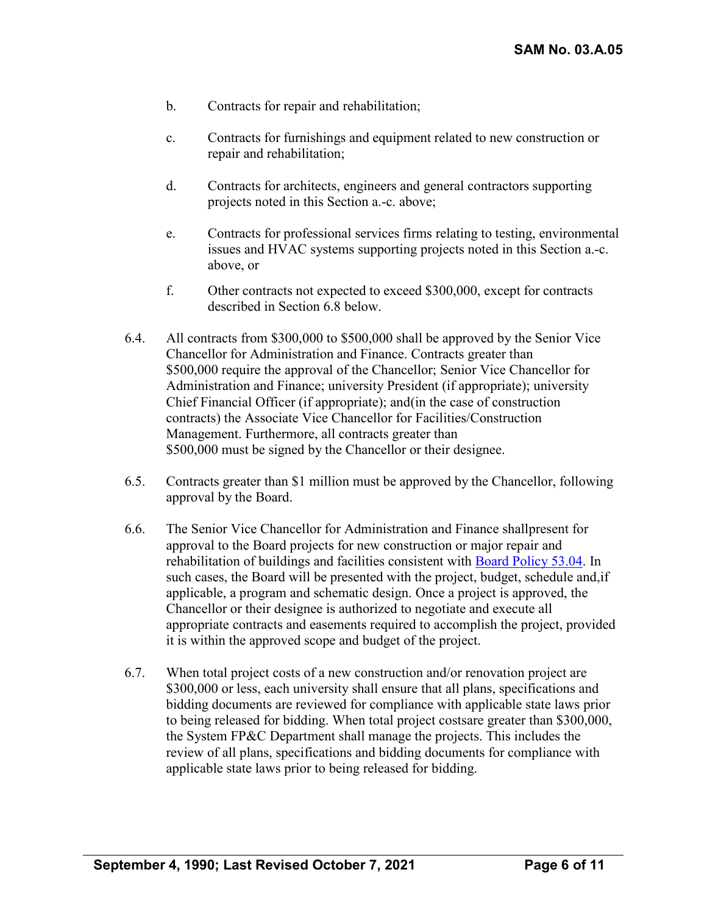- b. Contracts for repair and rehabilitation;
- c. Contracts for furnishings and equipment related to new construction or repair and rehabilitation;
- d. Contracts for architects, engineers and general contractors supporting projects noted in this Section a.-c. above;
- e. Contracts for professional services firms relating to testing, environmental issues and HVAC systems supporting projects noted in this Section a.-c. above, or
- f. Other contracts not expected to exceed \$300,000, except for contracts described in Section 6.8 below.
- 6.4. All contracts from \$300,000 to \$500,000 shall be approved by the Senior Vice Chancellor for Administration and Finance. Contracts greater than \$500,000 require the approval of the Chancellor; Senior Vice Chancellor for Administration and Finance; university President (if appropriate); university Chief Financial Officer (if appropriate); and(in the case of construction contracts) the Associate Vice Chancellor for Facilities/Construction Management. Furthermore, all contracts greater than \$500,000 must be signed by the Chancellor or their designee.
- 6.5. Contracts greater than \$1 million must be approved by the Chancellor, following approval by the Board.
- 6.6. The Senior Vice Chancellor for Administration and Finance shallpresent for approval to the Board projects for new construction or major repair and rehabilitation of buildings and facilities consistent with [Board Policy 53.04.](http://www.uhsystem.edu/board-of-regents/policies/index.php#SectionVI) In such cases, the Board will be presented with the project, budget, schedule and,if applicable, a program and schematic design. Once a project is approved, the Chancellor or their designee is authorized to negotiate and execute all appropriate contracts and easements required to accomplish the project, provided it is within the approved scope and budget of the project.
- 6.7. When total project costs of a new construction and/or renovation project are \$300,000 or less, each university shall ensure that all plans, specifications and bidding documents are reviewed for compliance with applicable state laws prior to being released for bidding. When total project costsare greater than \$300,000, the System FP&C Department shall manage the projects. This includes the review of all plans, specifications and bidding documents for compliance with applicable state laws prior to being released for bidding.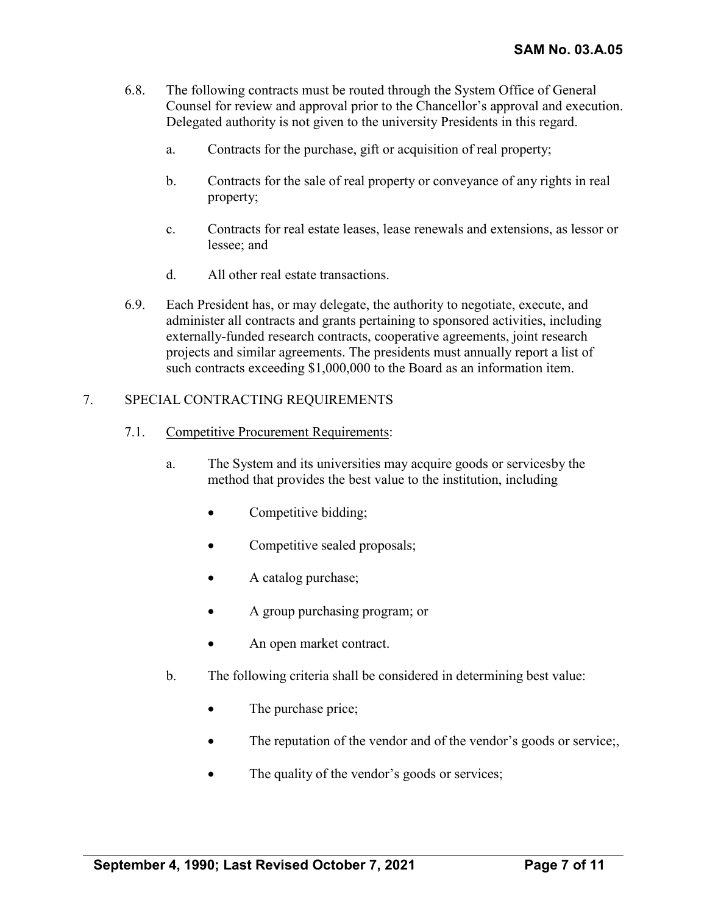- 6.8. The following contracts must be routed through the System Office of General Counsel for review and approval prior to the Chancellor's approval and execution. Delegated authority is not given to the university Presidents in this regard.
	- a. Contracts for the purchase, gift or acquisition of real property;
	- b. Contracts for the sale of real property or conveyance of any rights in real property;
	- c. Contracts for real estate leases, lease renewals and extensions, as lessor or lessee; and
	- d. All other real estate transactions.
- 6.9. Each President has, or may delegate, the authority to negotiate, execute, and administer all contracts and grants pertaining to sponsored activities, including externally-funded research contracts, cooperative agreements, joint research projects and similar agreements. The presidents must annually report a list of such contracts exceeding \$1,000,000 to the Board as an information item.

# 7. SPECIAL CONTRACTING REQUIREMENTS

- 7.1. Competitive Procurement Requirements:
	- a. The System and its universities may acquire goods or servicesby the method that provides the best value to the institution, including
		- Competitive bidding;
		- Competitive sealed proposals;
		- A catalog purchase;
		- A group purchasing program; or
		- An open market contract.
	- b. The following criteria shall be considered in determining best value:
		- The purchase price;
		- The reputation of the vendor and of the vendor's goods or service;
		- The quality of the vendor's goods or services;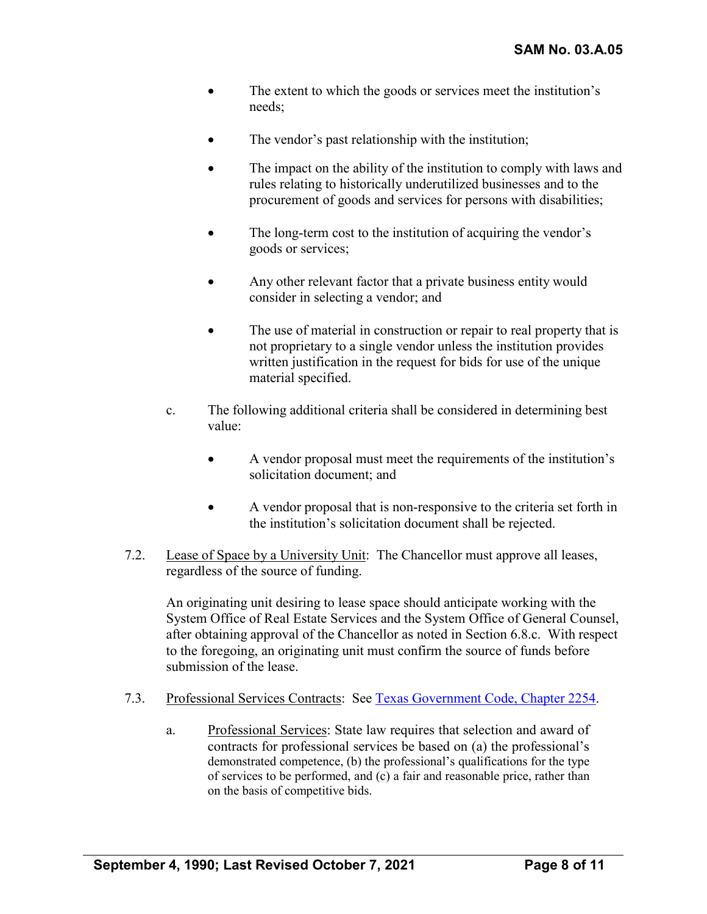- The extent to which the goods or services meet the institution's needs;
- The vendor's past relationship with the institution;
- The impact on the ability of the institution to comply with laws and rules relating to historically underutilized businesses and to the procurement of goods and services for persons with disabilities;
- The long-term cost to the institution of acquiring the vendor's goods or services;
- Any other relevant factor that a private business entity would consider in selecting a vendor; and
- The use of material in construction or repair to real property that is not proprietary to a single vendor unless the institution provides written justification in the request for bids for use of the unique material specified.
- c. The following additional criteria shall be considered in determining best value:
	- A vendor proposal must meet the requirements of the institution's solicitation document; and
	- A vendor proposal that is non-responsive to the criteria set forth in the institution's solicitation document shall be rejected.
- 7.2. Lease of Space by a University Unit: The Chancellor must approve all leases, regardless of the source of funding.

An originating unit desiring to lease space should anticipate working with the System Office of Real Estate Services and the System Office of General Counsel, after obtaining approval of the Chancellor as noted in Section 6.8.c. With respect to the foregoing, an originating unit must confirm the source of funds before submission of the lease.

- 7.3. Professional Services Contracts: See [Texas Government](http://www.statutes.legis.state.tx.us/Docs/GV/htm/GV.2254.htm) Code, Chapter 2254.
	- a. Professional Services: State law requires that selection and award of contracts for professional services be based on (a) the professional's demonstrated competence, (b) the professional's qualifications for the type of services to be performed, and (c) a fair and reasonable price, rather than on the basis of competitive bids.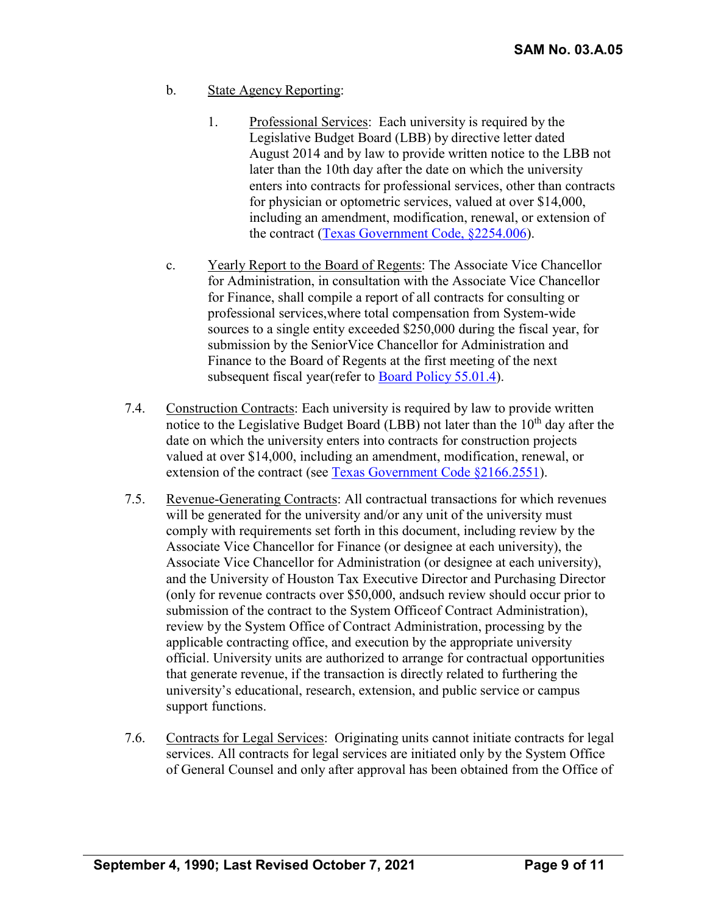- b. State Agency Reporting:
	- 1. Professional Services: Each university is required by the Legislative Budget Board (LBB) by directive letter dated August 2014 and by law to provide written notice to the LBB not later than the 10th day after the date on which the university enters into contracts for professional services, other than contracts for physician or optometric services, valued at over \$14,000, including an amendment, modification, renewal, or extension of the contract (Texas [Government Code, §2254.006\)](http://www.statutes.legis.state.tx.us/Docs/GV/htm/GV.2254.htm#2254.006).
- c. Yearly Report to the Board of Regents: The Associate Vice Chancellor for Administration, in consultation with the Associate Vice Chancellor for Finance, shall compile a report of all contracts for consulting or professional services,where total compensation from System-wide sources to a single entity exceeded \$250,000 during the fiscal year, for submission by the SeniorVice Chancellor for Administration and Finance to the Board of Regents at the first meeting of the next subsequent fiscal year(refer to [Board Policy](http://www.uhsystem.edu/board-of-regents/policies/index.php#SectionVI) 55.01.4).
- 7.4. Construction Contracts: Each university is required by law to provide written notice to the Legislative Budget Board (LBB) not later than the  $10<sup>th</sup>$  day after the date on which the university enters into contracts for construction projects valued at over \$14,000, including an amendment, modification, renewal, or extension of the contract (see Texas Government [Code §2166.2551\)](http://www.statutes.legis.state.tx.us/Docs/GV/htm/GV.2166.htm#2166.2551).
- 7.5. Revenue-Generating Contracts: All contractual transactions for which revenues will be generated for the university and/or any unit of the university must comply with requirements set forth in this document, including review by the Associate Vice Chancellor for Finance (or designee at each university), the Associate Vice Chancellor for Administration (or designee at each university), and the University of Houston Tax Executive Director and Purchasing Director (only for revenue contracts over \$50,000, andsuch review should occur prior to submission of the contract to the System Officeof Contract Administration), review by the System Office of Contract Administration, processing by the applicable contracting office, and execution by the appropriate university official. University units are authorized to arrange for contractual opportunities that generate revenue, if the transaction is directly related to furthering the university's educational, research, extension, and public service or campus support functions.
- 7.6. Contracts for Legal Services: Originating units cannot initiate contracts for legal services. All contracts for legal services are initiated only by the System Office of General Counsel and only after approval has been obtained from the Office of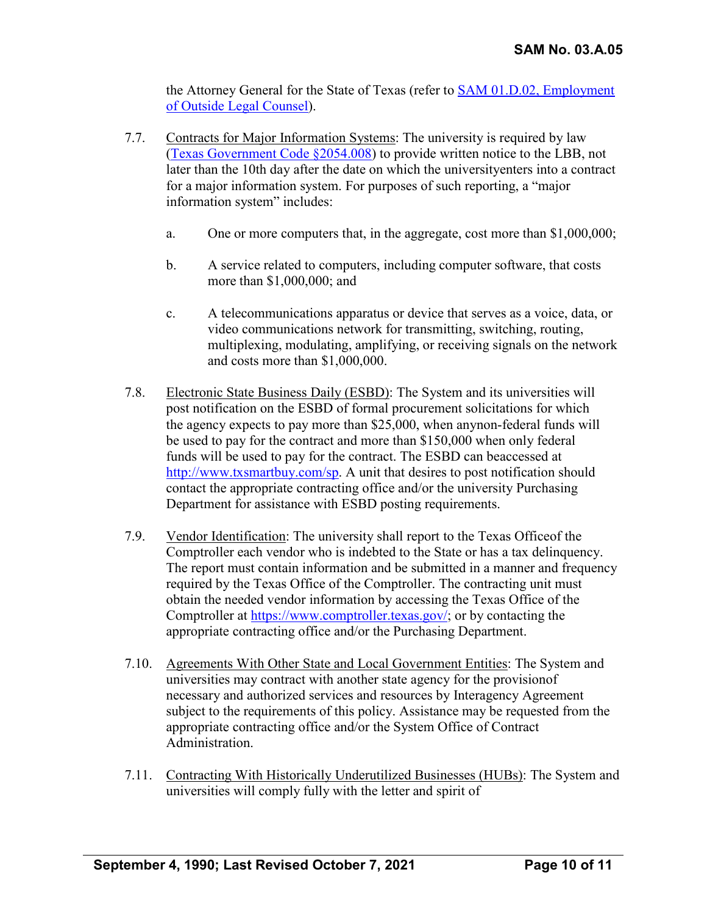the Attorney General for the State of Texas (refer to [SAM 01.D.02, Employment](https://uhsystem.edu/compliance-ethics/_docs/sam/01/1d2.pdf) of Outside [Legal Counsel\)](https://uhsystem.edu/compliance-ethics/_docs/sam/01/1d2.pdf).

- 7.7. Contracts for Major Information Systems: The university is required by law [\(Texas Government Code §2054.008\)](http://www.statutes.legis.state.tx.us/Docs/GV/htm/GV.2054.htm#2054.008) to provide written notice to the LBB, not later than the 10th day after the date on which the universityenters into a contract for a major information system. For purposes of such reporting, a "major information system" includes:
	- a. One or more computers that, in the aggregate, cost more than \$1,000,000;
	- b. A service related to computers, including computer software, that costs more than \$1,000,000; and
	- c. A telecommunications apparatus or device that serves as a voice, data, or video communications network for transmitting, switching, routing, multiplexing, modulating, amplifying, or receiving signals on the network and costs more than \$1,000,000.
- 7.8. Electronic State Business Daily (ESBD): The System and its universities will post notification on the ESBD of formal procurement solicitations for which the agency expects to pay more than \$25,000, when anynon-federal funds will be used to pay for the contract and more than \$150,000 when only federal funds will be used to pay for the contract. The ESBD can beaccessed at [http://www.txsmartbuy.com/sp.](http://www.txsmartbuy.com/sp) A unit that desires to post notification should contact the appropriate contracting office and/or the university Purchasing Department for assistance with ESBD posting requirements.
- 7.9. Vendor Identification: The university shall report to the Texas Officeof the Comptroller each vendor who is indebted to the State or has a tax delinquency. The report must contain information and be submitted in a manner and frequency required by the Texas Office of the Comptroller. The contracting unit must obtain the needed vendor information by accessing the Texas Office of the Comptroller at [https://www.comptroller.texas.gov/;](https://www.comptroller.texas.gov/) or by contacting the appropriate contracting office and/or the Purchasing Department.
- 7.10. Agreements With Other State and Local Government Entities: The System and universities may contract with another state agency for the provisionof necessary and authorized services and resources by Interagency Agreement subject to the requirements of this policy. Assistance may be requested from the appropriate contracting office and/or the System Office of Contract Administration.
- 7.11. Contracting With Historically Underutilized Businesses (HUBs): The System and universities will comply fully with the letter and spirit of